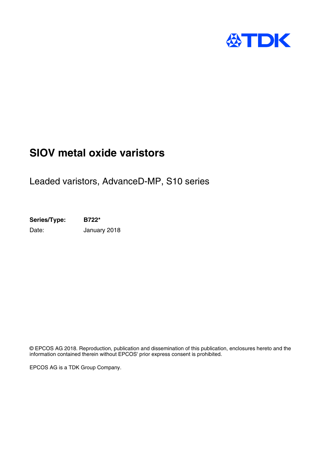

## **SIOV metal oxide varistors**

Leaded varistors, AdvanceD-MP, S10 series

**Series/Type: B722\*** Date: **January 2018** 

© EPCOS AG 2018. Reproduction, publication and dissemination of this publication, enclosures hereto and the information contained therein without EPCOS' prior express consent is prohibited.

EPCOS AG is a TDK Group Company.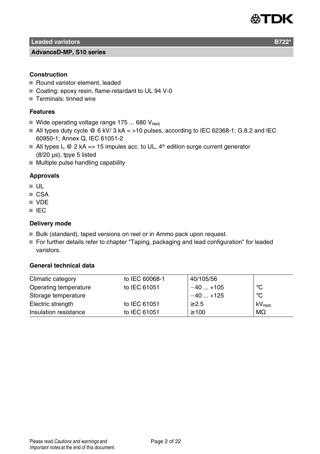

**Leaded varistors B722** 

#### **AdvanceD-MP, S10 series**

#### **Construction**

- Round varistor element, leaded
- Coating: epoxy resin, flame-retardant to UL 94 V-0
- Terminals: tinned wire

#### **Features**

- Wide operating voltage range 175 ... 680  $V_{BMS}$
- $\blacksquare$  All types duty cycle @ 6 kV/ 3 kA = >10 pulses, according to IEC 62368-1; G.8.2 and IEC 60950-1; Annex Q, IEC 61051-2
- All types  $I_n \otimes 2$  kA => 15 impules acc. to UL,  $4<sup>th</sup>$  edition surge current generator (8/20 µs), tpye 5 listed
- $\blacksquare$  Multiple pulse handling capability

#### **Approvals**

- UL
- CSA
- **N** VDF
- **III** IFC

#### **Delivery mode**

- Bulk (standard), taped versions on reel or in Ammo pack upon request.
- For further details refer to chapter "Taping, packaging and lead configuration" for leaded varistors.

#### **General technical data**

| Climatic category     | to IEC 60068-1 | 40/105/56  |                   |
|-----------------------|----------------|------------|-------------------|
| Operating temperature | to IEC 61051   | $-40+105$  | °C                |
| Storage temperature   |                | $-40+125$  | $^{\circ}$ C      |
| Electric strength     | to IEC 61051   | $\geq$ 2.5 | kV <sub>RMS</sub> |
| Insulation resistance | to IEC 61051   | $\geq 100$ | $M\Omega$         |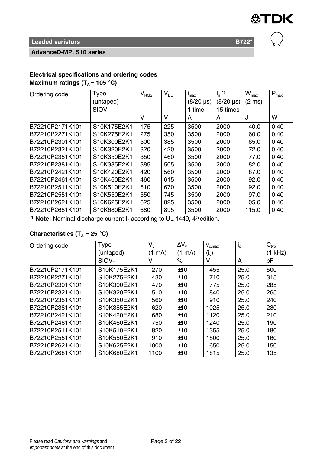

#### **AdvanceD-MP, S10 series**

#### **Electrical specifications and ordering codes Maximum ratings (** $T_A$  **= 105 °C)**

| Ordering code   | Type        | $V_{RMS}$ | $V_{DC}$ | $I_{\text{max}}$             | 1)<br>$\mathsf{I}_{\mathsf{n}}$ | $W_{\text{max}}$ | $P_{max}$ |
|-----------------|-------------|-----------|----------|------------------------------|---------------------------------|------------------|-----------|
|                 | (untaped)   |           |          | $(8/20 \text{ }\mu\text{s})$ | $(8/20 \text{ }\mu\text{s})$    | $(2 \text{ ms})$ |           |
|                 | SIOV-       |           |          | 1 time                       | 15 times                        |                  |           |
|                 |             | ν         | ν        | A                            | A                               | J                | W         |
| B72210P2171K101 | S10K175E2K1 | 175       | 225      | 3500                         | 2000                            | 40.0             | 0.40      |
| B72210P2271K101 | S10K275E2K1 | 275       | 350      | 3500                         | 2000                            | 60.0             | 0.40      |
| B72210P2301K101 | S10K300E2K1 | 300       | 385      | 3500                         | 2000                            | 65.0             | 0.40      |
| B72210P2321K101 | S10K320E2K1 | 320       | 420      | 3500                         | 2000                            | 72.0             | 0.40      |
| B72210P2351K101 | S10K350E2K1 | 350       | 460      | 3500                         | 2000                            | 77.0             | 0.40      |
| B72210P2381K101 | S10K385E2K1 | 385       | 505      | 3500                         | 2000                            | 82.0             | 0.40      |
| B72210P2421K101 | S10K420E2K1 | 420       | 560      | 3500                         | 2000                            | 87.0             | 0.40      |
| B72210P2461K101 | S10K460E2K1 | 460       | 615      | 3500                         | 2000                            | 92.0             | 0.40      |
| B72210P2511K101 | S10K510E2K1 | 510       | 670      | 3500                         | 2000                            | 92.0             | 0.40      |
| B72210P2551K101 | S10K550E2K1 | 550       | 745      | 3500                         | 2000                            | 97.0             | 0.40      |
| B72210P2621K101 | S10K625E2K1 | 625       | 825      | 3500                         | 2000                            | 105.0            | 0.40      |
| B72210P2681K101 | S10K680E2K1 | 680       | 895      | 3500                         | 2000                            | 115.0            | 0.40      |

<sup>1)</sup> Note: Nominal discharge current I<sub>n</sub> according to UL 1449, 4<sup>th</sup> edition.

## **Characteristics (T<sup>A</sup> = 25** °**C)**

| Ordering code   | Type        | $V_{\rm v}$ | $\Delta V_{\rm v}$ | $V_{c,max}$ | $i_{\rm c}$ | $C_{typ}$ |
|-----------------|-------------|-------------|--------------------|-------------|-------------|-----------|
|                 | (untaped)   | (1)<br>mA)  | $(1 \text{ mA})$   | $(i_c)$     |             | kHz)      |
|                 | SIOV-       | v           | %                  | ٧           | A           | рF        |
| B72210P2171K101 | S10K175E2K1 | 270         | ±10                | 455         | 25.0        | 500       |
| B72210P2271K101 | S10K275E2K1 | 430         | ±10                | 710         | 25.0        | 315       |
| B72210P2301K101 | S10K300E2K1 | 470         | ±10                | 775         | 25.0        | 285       |
| B72210P2321K101 | S10K320E2K1 | 510         | ±10                | 840         | 25.0        | 265       |
| B72210P2351K101 | S10K350E2K1 | 560         | ±10                | 910         | 25.0        | 240       |
| B72210P2381K101 | S10K385E2K1 | 620         | ±10                | 1025        | 25.0        | 230       |
| B72210P2421K101 | S10K420E2K1 | 680         | ±10                | 1120        | 25.0        | 210       |
| B72210P2461K101 | S10K460E2K1 | 750         | ±10                | 1240        | 25.0        | 190       |
| B72210P2511K101 | S10K510E2K1 | 820         | ±10                | 1355        | 25.0        | 180       |
| B72210P2551K101 | S10K550E2K1 | 910         | ±10                | 1500        | 25.0        | 160       |
| B72210P2621K101 | S10K625E2K1 | 1000        | ±10                | 1650        | 25.0        | 150       |
| B72210P2681K101 | S10K680E2K1 | 1100        | ±10                | 1815        | 25.0        | 135       |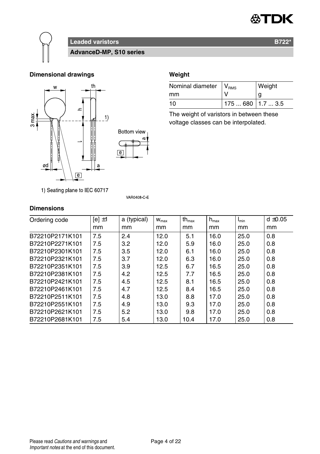



**Leaded varistors B722\* AdvanceD-MP, S10 series**

**Dimensional drawings Weight** 



| Nominal diameter   V <sub>RMS</sub> |                   | Weight |
|-------------------------------------|-------------------|--------|
| mm                                  |                   |        |
| 10                                  | $175680$ 1.7  3.5 |        |

The weight of varistors in between these voltage classes can be interpolated.

| 1) Seating plane to IEC 60717 |  |  |  |  |  |
|-------------------------------|--|--|--|--|--|
|-------------------------------|--|--|--|--|--|

**VAR0408 C E** 

## **Dimensions**

| Ordering code   | $[el \pm 1]$ | a (typical) | $W_{\text{max}}$ | $th_{\text{max}}$ | $h_{\text{max}}$ | $I_{min}$ | $d \pm 0.05$ |
|-----------------|--------------|-------------|------------------|-------------------|------------------|-----------|--------------|
|                 | mm           | mm          | mm               | mm                | mm               | mm        | mm           |
| B72210P2171K101 | 7.5          | 2.4         | 12.0             | 5.1               | 16.0             | 25.0      | 0.8          |
| B72210P2271K101 | 7.5          | 3.2         | 12.0             | 5.9               | 16.0             | 25.0      | 0.8          |
| B72210P2301K101 | 7.5          | 3.5         | 12.0             | 6.1               | 16.0             | 25.0      | 0.8          |
| B72210P2321K101 | 7.5          | 3.7         | 12.0             | 6.3               | 16.0             | 25.0      | 0.8          |
| B72210P2351K101 | 7.5          | 3.9         | 12.5             | 6.7               | 16.5             | 25.0      | 0.8          |
| B72210P2381K101 | 7.5          | 4.2         | 12.5             | 7.7               | 16.5             | 25.0      | 0.8          |
| B72210P2421K101 | 7.5          | 4.5         | 12.5             | 8.1               | 16.5             | 25.0      | 0.8          |
| B72210P2461K101 | 7.5          | 4.7         | 12.5             | 8.4               | 16.5             | 25.0      | 0.8          |
| B72210P2511K101 | 7.5          | 4.8         | 13.0             | 8.8               | 17.0             | 25.0      | 0.8          |
| B72210P2551K101 | 7.5          | 4.9         | 13.0             | 9.3               | 17.0             | 25.0      | 0.8          |
| B72210P2621K101 | 7.5          | 5.2         | 13.0             | 9.8               | 17.0             | 25.0      | 0.8          |
| B72210P2681K101 | 7.5          | 5.4         | 13.0             | 10.4              | 17.0             | 25.0      | 0.8          |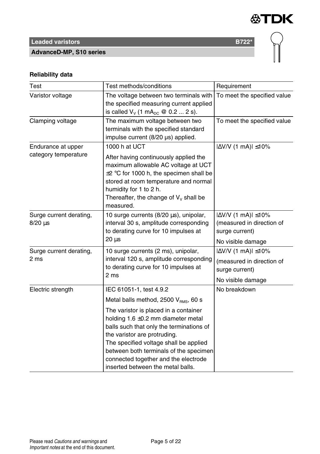

# **Leaded varistors B722<sup>\*</sup>**

### **AdvanceD-MP, S10 series**

## **Reliability data**

| Test                                       | Test methods/conditions                                                                                                                                                                                                                                                                                                       | Requirement                                                                                            |  |
|--------------------------------------------|-------------------------------------------------------------------------------------------------------------------------------------------------------------------------------------------------------------------------------------------------------------------------------------------------------------------------------|--------------------------------------------------------------------------------------------------------|--|
| Varistor voltage                           | The voltage between two terminals with<br>To meet the specified value<br>the specified measuring current applied<br>is called $V_v$ (1 mA <sub>pc</sub> @ 0.2  2 s).                                                                                                                                                          |                                                                                                        |  |
| Clamping voltage                           | The maximum voltage between two<br>terminals with the specified standard<br>impulse current (8/20 µs) applied.                                                                                                                                                                                                                | To meet the specified value                                                                            |  |
| Endurance at upper<br>category temperature | 1000 h at UCT<br>After having continuously applied the<br>maximum allowable AC voltage at UCT<br>$\pm 2$ °C for 1000 h, the specimen shall be<br>stored at room temperature and normal<br>humidity for 1 to 2 h.<br>Thereafter, the change of $V_v$ shall be<br>measured.                                                     | $ \Delta V/V $ (1 mA) $ \leq 10\%$                                                                     |  |
| Surge current derating,<br>$8/20 \,\mu s$  | 10 surge currents (8/20 µs), unipolar,<br>interval 30 s, amplitude corresponding<br>to derating curve for 10 impulses at<br>$20 \mu s$                                                                                                                                                                                        | $ \Delta$ V/V (1 mA) $ \leq$ 10%<br>(measured in direction of<br>surge current)<br>No visible damage   |  |
| Surge current derating,<br>2 ms            | 10 surge currents (2 ms), unipolar,<br>interval 120 s, amplitude corresponding<br>to derating curve for 10 impulses at<br>2 <sub>ms</sub>                                                                                                                                                                                     | $ \Delta V/V $ (1 mA) $ \leq 10\%$<br>(measured in direction of<br>surge current)<br>No visible damage |  |
| Electric strength                          | IEC 61051-1, test 4.9.2<br>Metal balls method, 2500 V <sub>RMS</sub> , 60 s                                                                                                                                                                                                                                                   | No breakdown                                                                                           |  |
|                                            | The varistor is placed in a container<br>holding $1.6 \pm 0.2$ mm diameter metal<br>balls such that only the terminations of<br>the varistor are protruding.<br>The specified voltage shall be applied<br>between both terminals of the specimen<br>connected together and the electrode<br>inserted between the metal balls. |                                                                                                        |  |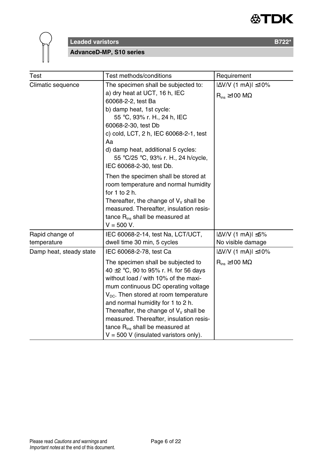



#### **AdvanceD-MP, S10 series**

| Test                           | Test methods/conditions                                                                                                                                                                                                                                                                                                                                                                                                      | Requirement                                                      |
|--------------------------------|------------------------------------------------------------------------------------------------------------------------------------------------------------------------------------------------------------------------------------------------------------------------------------------------------------------------------------------------------------------------------------------------------------------------------|------------------------------------------------------------------|
| Climatic sequence              | The specimen shall be subjected to:<br>a) dry heat at UCT, 16 h, IEC<br>60068-2-2, test Ba<br>b) damp heat, 1st cycle:<br>55 °C, 93% r. H., 24 h, IEC<br>60068-2-30, test Db<br>c) cold, LCT, 2 h, IEC 60068-2-1, test<br>Aa<br>d) damp heat, additional 5 cycles:<br>55 °C/25 °C, 93% r. H., 24 h/cycle,<br>IEC 60068-2-30, test Db.                                                                                        | $ \Delta$ V/V (1 mA) $ \leq$ 10%<br>$R_{ins} \ge 100$ M $\Omega$ |
|                                | Then the specimen shall be stored at<br>room temperature and normal humidity<br>for $1$ to $2$ h.<br>Thereafter, the change of $V_v$ shall be<br>measured. Thereafter, insulation resis-<br>tance R <sub>ins</sub> shall be measured at<br>$V = 500 V.$                                                                                                                                                                      |                                                                  |
| Rapid change of<br>temperature | IEC 60068-2-14, test Na, LCT/UCT,<br>dwell time 30 min, 5 cycles                                                                                                                                                                                                                                                                                                                                                             | $ \Delta V/V$ (1 mA) $ \leq 5\%$<br>No visible damage            |
| Damp heat, steady state        | IEC 60068-2-78, test Ca                                                                                                                                                                                                                                                                                                                                                                                                      | $ \Delta$ V/V (1 mA) $ \leq$ 10%                                 |
|                                | The specimen shall be subjected to<br>40 $\pm$ 2 °C, 90 to 95% r. H. for 56 days<br>without load / with 10% of the maxi-<br>mum continuous DC operating voltage<br>$V_{DC}$ . Then stored at room temperature<br>and normal humidity for 1 to 2 h.<br>Thereafter, the change of $V_v$ shall be<br>measured. Thereafter, insulation resis-<br>tance $R_{ins}$ shall be measured at<br>$V = 500$ V (insulated varistors only). | $R_{ins} \ge 100 M\Omega$                                        |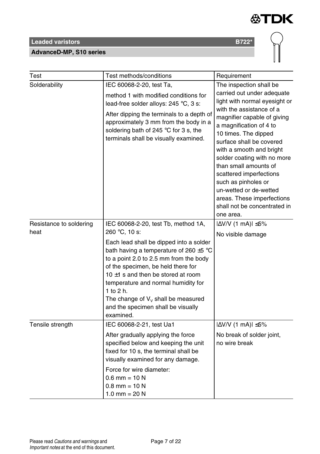#### **AdvanceD-MP, S10 series**



| Test                            | Test methods/conditions                                                                                                                                                                                                                                                                                                                                                                                                      | Requirement                                                                                                                                                                                                                                                                                                                                                                                                                                                                 |
|---------------------------------|------------------------------------------------------------------------------------------------------------------------------------------------------------------------------------------------------------------------------------------------------------------------------------------------------------------------------------------------------------------------------------------------------------------------------|-----------------------------------------------------------------------------------------------------------------------------------------------------------------------------------------------------------------------------------------------------------------------------------------------------------------------------------------------------------------------------------------------------------------------------------------------------------------------------|
| Solderability                   | IEC 60068-2-20, test Ta,<br>method 1 with modified conditions for<br>lead-free solder alloys: 245 °C, 3 s:<br>After dipping the terminals to a depth of<br>approximately 3 mm from the body in a<br>soldering bath of 245 °C for 3 s, the<br>terminals shall be visually examined.                                                                                                                                           | The inspection shall be<br>carried out under adequate<br>light with normal eyesight or<br>with the assistance of a<br>magnifier capable of giving<br>a magnification of 4 to<br>10 times. The dipped<br>surface shall be covered<br>with a smooth and bright<br>solder coating with no more<br>than small amounts of<br>scattered imperfections<br>such as pinholes or<br>un-wetted or de-wetted<br>areas. These imperfections<br>shall not be concentrated in<br>one area. |
| Resistance to soldering<br>heat | IEC 60068-2-20, test Tb, method 1A,<br>260 °C, 10 s:<br>Each lead shall be dipped into a solder<br>bath having a temperature of 260 $\pm$ 5 °C<br>to a point 2.0 to 2.5 mm from the body<br>of the specimen, be held there for<br>10 $\pm$ 1 s and then be stored at room<br>temperature and normal humidity for<br>1 to $2 h$ .<br>The change of $V_v$ shall be measured<br>and the specimen shall be visually<br>examined. | $ \Delta V/V$ (1 mA) $ \leq 5\%$<br>No visible damage                                                                                                                                                                                                                                                                                                                                                                                                                       |
| Tensile strength                | IEC 60068-2-21, test Ua1<br>After gradually applying the force<br>specified below and keeping the unit<br>fixed for 10 s, the terminal shall be<br>visually examined for any damage.<br>Force for wire diameter:<br>$0.6$ mm = 10 N<br>$0.8$ mm = 10 N<br>1.0 mm = $20 N$                                                                                                                                                    | $ \Delta V/V$ (1 mA) $ \leq 5\%$<br>No break of solder joint,<br>no wire break                                                                                                                                                                                                                                                                                                                                                                                              |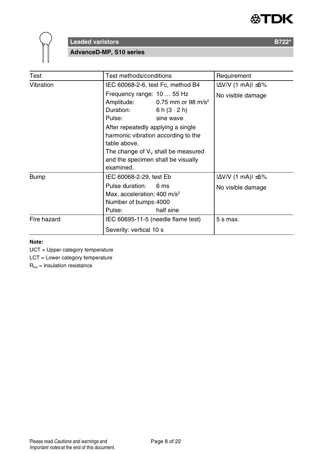



**AdvanceD-MP, S10 series**

| Test        | Test methods/conditions                                                                                                                                                                                                                                                                                                         | Requirement                                           |  |  |
|-------------|---------------------------------------------------------------------------------------------------------------------------------------------------------------------------------------------------------------------------------------------------------------------------------------------------------------------------------|-------------------------------------------------------|--|--|
| Vibration   | IEC 60068-2-6, test Fc, method B4                                                                                                                                                                                                                                                                                               | $ \Delta V/V $ (1 mA) $ \leq 5\%$                     |  |  |
|             | Frequency range: 10  55 Hz<br>Amplitude:<br>0.75 mm or 98 m/s <sup>2</sup><br>Duration:<br>6 h $(3 \cdot 2)$ h)<br>Pulse:<br>sine wave<br>After repeatedly applying a single<br>harmonic vibration according to the<br>table above.<br>The change of $V_v$ shall be measured<br>and the specimen shall be visually<br>examined. | No visible damage                                     |  |  |
| <b>Bump</b> | IEC 60068-2-29, test Eb<br>Pulse duration:<br>6 ms<br>Max. acceleration: $400 \text{ m/s}^2$<br>Number of bumps: 4000<br>half sine<br>Pulse:                                                                                                                                                                                    | $ \Delta V/V$ (1 mA) $ \leq 5\%$<br>No visible damage |  |  |
| Fire hazard | IEC 60695-11-5 (needle flame test)<br>Severity: vertical 10 s                                                                                                                                                                                                                                                                   |                                                       |  |  |

#### **Note:**

UCT = Upper category temperature

LCT = Lower category temperature

Rins = Insulation resistance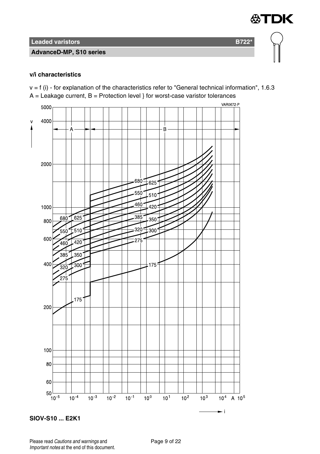#### **AdvanceD-MP, S10 series**

#### **v/i characteristics**

 $v = f$  (i) - for explanation of the characteristics refer to "General technical information", 1.6.3  $A =$  Leakage current,  $B =$  Protection level } for worst-case varistor tolerances

∜TDK



**SIOV-S10 ... E2K1**

Please read Cautions and warnings and Page 9 of 22 Important notes at the end of this document.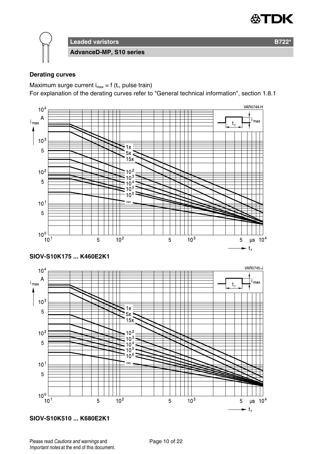

**Leaded varistors B722\* AdvanceD-MP, S10 series**

#### **Derating curves**

Maximum surge current  $i_{max} = f(t_r)$ , pulse train)

For explanation of the derating curves refer to "General technical information", section 1.8.1



**SIOV-S10K510 ... K680E2K1**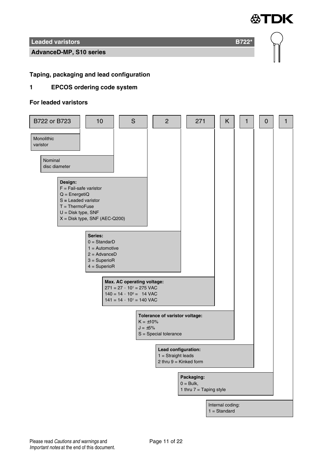

#### **AdvanceD-MP, S10 series**

#### **Taping, packaging and lead configuration**

#### **1 EPCOS ordering code system**

#### **For leaded varistors**

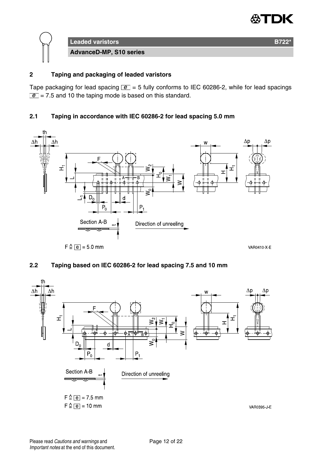



#### **2 Taping and packaging of leaded varistors**

Tape packaging for lead spacing  $\boxed{e}$  = 5 fully conforms to IEC 60286-2, while for lead spacings  $\boxed{e}$  = 7.5 and 10 the taping mode is based on this standard.

#### **2.1 Taping in accordance with IEC 60286-2 for lead spacing 5.0 mm**



#### **2.2 Taping based on IEC 60286-2 for lead spacing 7.5 and 10 mm**

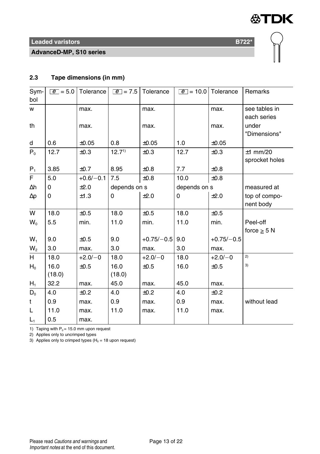

**AdvanceD-MP, S10 series**



#### **2.3 Tape dimensions (in mm)**

| Sym-           | $ e  = 5.0$ | Tolerance   | $ e  = 7.5$       | Tolerance    | $\boxed{e}$ = 10.0 Tolerance |              | Remarks        |
|----------------|-------------|-------------|-------------------|--------------|------------------------------|--------------|----------------|
| bol            |             |             |                   |              |                              |              |                |
| w              |             | max.        |                   | max.         |                              | max.         | see tables in  |
|                |             |             |                   |              |                              |              | each series    |
| th             |             | max.        |                   | max.         |                              | max.         | under          |
|                |             |             |                   |              |                              |              | "Dimensions"   |
| d              | 0.6         | ±0.05       | 0.8               | ±0.05        | 1.0                          | ±0.05        |                |
| $P_0$          | 12.7        | $\pm 0.3$   | 12.7 <sup>1</sup> | ±0.3         | 12.7                         | ±0.3         | $±1$ mm/20     |
|                |             |             |                   |              |                              |              | sprocket holes |
| $P_1$          | 3.85        | ±0.7        | 8.95              | $\pm 0.8$    | 7.7                          | $\pm 0.8$    |                |
| F              | 5.0         | $+0.6/-0.1$ | 7.5               | ±0.8         | 10.0                         | ±0.8         |                |
| Δh             | 0           | ±2.0        | depends on s      |              | depends on s                 |              | measured at    |
| $\Delta p$     | 0           | ±1.3        | 0                 | ±2.0         | 0                            | ±2.0         | top of compo-  |
|                |             |             |                   |              |                              |              | nent body      |
| W              | 18.0        | ±0.5        | 18.0              | ±0.5         | 18.0                         | ±0.5         |                |
| $W_0$          | 5.5         | min.        | 11.0              | min.         | 11.0                         | min.         | Peel-off       |
|                |             |             |                   |              |                              |              | force $>$ 5 N  |
| $W_1$          | 9.0         | ±0.5        | 9.0               | $+0.75/-0.5$ | 9.0                          | $+0.75/-0.5$ |                |
| W <sub>2</sub> | 3.0         | max.        | 3.0               | max.         | 3.0                          | max.         |                |
| H              | 18.0        | $+2.0/-0$   | 18.0              | $+2.0/-0$    | 18.0                         | $+2.0/-0$    | 2)             |
| $H_0$          | 16.0        | $\pm 0.5$   | 16.0              | ±0.5         | 16.0                         | ±0.5         | 3)             |
|                | (18.0)      |             | (18.0)            |              |                              |              |                |
| $H_1$          | 32.2        | max.        | 45.0              | max.         | 45.0                         | max.         |                |
| $D_0$          | 4.0         | ±0.2        | 4.0               | ±0.2         | 4.0                          | ±0.2         |                |
| t              | 0.9         | max.        | 0.9               | max.         | 0.9                          | max.         | without lead   |
| L              | 11.0        | max.        | 11.0              | max.         | 11.0                         | max.         |                |
| $L_1$          | 0.5         | max.        |                   |              |                              |              |                |

1) Taping with  $P_0 = 15.0$  mm upon request

2) Applies only to uncrimped types

3) Applies only to crimped types ( $H_0 = 18$  upon request)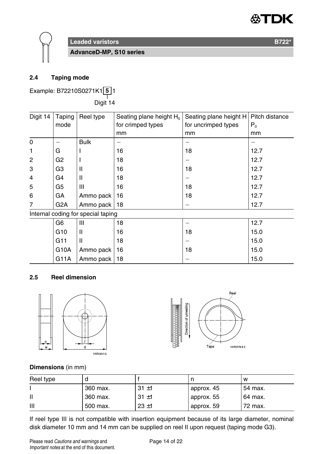

**AdvanceD-MP, S10 series**

#### **2.4 Taping mode**

Example: B72210S0271K1 **5** 1

——<br>Digit 14

| Digit 14                           | Taping           | Reel type    | Seating plane height $H_0$ | Seating plane height H | Pitch distance |
|------------------------------------|------------------|--------------|----------------------------|------------------------|----------------|
|                                    | mode             |              | for crimped types          | for uncrimped types    | $P_0$          |
|                                    |                  |              | mm                         | mm                     | mm             |
| 0                                  |                  | <b>Bulk</b>  |                            |                        |                |
| 1                                  | G                |              | 16                         | 18                     | 12.7           |
| 2                                  | G <sub>2</sub>   |              | 18                         |                        | 12.7           |
| 3                                  | G3               | $\mathsf{I}$ | 16                         | 18                     | 12.7           |
| $\overline{4}$                     | G4               | $\mathsf{I}$ | 18                         |                        | 12.7           |
| 5                                  | G <sub>5</sub>   | Ш            | 16                         | 18                     | 12.7           |
| 6                                  | GA               | Ammo pack    | 16                         | 18                     | 12.7           |
| 7                                  | G <sub>2</sub> A | Ammo pack    | 18                         |                        | 12.7           |
| Internal coding for special taping |                  |              |                            |                        |                |
|                                    | G6               | Ш            | 18                         | -                      | 12.7           |
|                                    | G <sub>10</sub>  | Ш            | 16                         | 18                     | 15.0           |
|                                    | G11              | $\mathsf{I}$ | 18                         |                        | 15.0           |
|                                    | G10A             | Ammo pack    | 16                         | 18                     | 15.0           |
|                                    | G11A             | Ammo pack    | 18                         |                        | 15.0           |

#### **2.5 Reel dimension**





#### **Dimensions** (in mm)

| Reel type |          |          |            | W       |
|-----------|----------|----------|------------|---------|
|           | 360 max. | $31 + 1$ | approx. 45 | 54 max. |
| Ш         | 360 max. | $31 + 1$ | approx. 55 | 64 max. |
| Ш         | 500 max. | $23 + 1$ | approx. 59 | 72 max. |

If reel type III is not compatible with insertion equipment because of its large diameter, nominal disk diameter 10 mm and 14 mm can be supplied on reel II upon request (taping mode G3).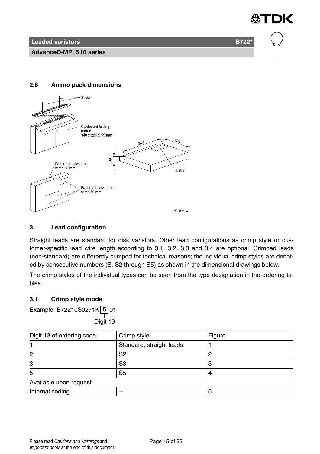**Leaded varistors B722<sup>\*</sup> B722<sup>\*</sup>** 

**AdvanceD-MP, S10 series**

#### **2.6 Ammo pack dimensions**



#### **3 Lead configuration**

Straight leads are standard for disk varistors. Other lead configurations as crimp style or customer-specific lead wire length according to 3.1, 3.2, 3.3 and 3.4 are optional. Crimped leads (non-standard) are differently crimped for technical reasons; the individual crimp styles are denoted by consecutive numbers (S, S2 through S5) as shown in the dimensional drawings below.

The crimp styles of the individual types can be seen from the type designation in the ordering tables.

#### **3.1 Crimp style mode**

Example: B72210S0271K **5** 01

——<br>Digit 13

| Digit 13 of ordering code | Crimp style              | Figure |  |
|---------------------------|--------------------------|--------|--|
|                           | Standard, straight leads |        |  |
| 2                         | S2                       |        |  |
| 3                         | S3                       |        |  |
| 5                         | S <sub>5</sub>           |        |  |
| Available upon request    |                          |        |  |
| Internal coding           |                          |        |  |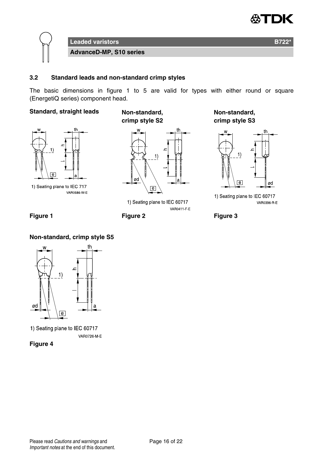



#### **3.2 Standard leads and non-standard crimp styles**

The basic dimensions in figure 1 to 5 are valid for types with either round or square (EnergetiQ series) component head.

#### **Standard, straight leads Non-standard,**



1) Seating plane to IEC 717 **VAR0586 W E** 

**crimp style S2**



1) Seating plane to IEC 60717 VAR0411 F E

**Non-standard, crimp style S3**



1) Seating plane to IEC 60717 VAR0396 R E



#### **Non-standard, crimp style S5**



1) Seating plane to IEC 60717 VAR0726 M-E

**Figure 4**

Please read Cautions and warnings and <br>
Page 16 of 22 Important notes at the end of this document.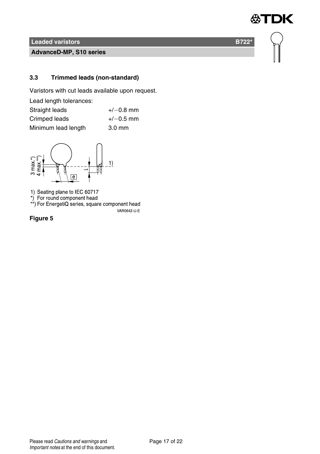**AdvanceD-MP, S10 series**

#### **3.3 Trimmed leads (non-standard)**

Varistors with cut leads available upon request.

| Lead length tolerances: |                  |
|-------------------------|------------------|
| Straight leads          | $+/-0.8$ mm      |
| Crimped leads           | $+/-0.5$ mm      |
| Minimum lead length     | $3.0 \text{ mm}$ |



1) Seating plane to IEC 60717<br>\*) For round component head<br>\*\*) For EnergetiQ series, square component head

VAR0642-U-E

**Figure 5**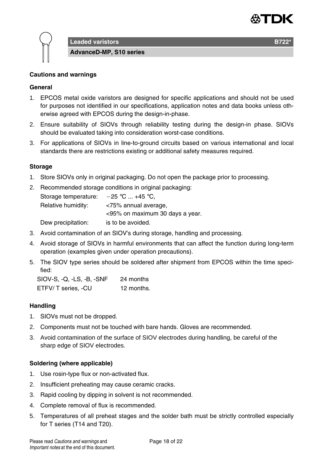

**Leaded varistors B722** 

**AdvanceD-MP, S10 series**

#### **Cautions and warnings**

#### **General**

- 1. EPCOS metal oxide varistors are designed for specific applications and should not be used for purposes not identified in our specifications, application notes and data books unless otherwise agreed with EPCOS during the design-in-phase.
- 2. Ensure suitability of SIOVs through reliability testing during the design-in phase. SIOVs should be evaluated taking into consideration worst-case conditions.
- 3. For applications of SIOVs in line-to-ground circuits based on various international and local standards there are restrictions existing or additional safety measures required.

#### **Storage**

- 1. Store SIOVs only in original packaging. Do not open the package prior to processing.
- 2. Recommended storage conditions in original packaging: Storage temperature:  $-25$  °C ... +45 °C, Relative humidity: <75% annual average, <95% on maximum 30 days a year. Dew precipitation: is to be avoided.
- 3. Avoid contamination of an SIOV's during storage, handling and processing.
- 4. Avoid storage of SIOVs in harmful environments that can affect the function during long-term operation (examples given under operation precautions).
- 5. The SIOV type series should be soldered after shipment from EPCOS within the time specified:

SIOV-S, -Q, -LS, -B, -SNF 24 months ETFV/ T series, -CU 12 months.

#### **Handling**

- 1. SIOVs must not be dropped.
- 2. Components must not be touched with bare hands. Gloves are recommended.
- 3. Avoid contamination of the surface of SIOV electrodes during handling, be careful of the sharp edge of SIOV electrodes.

#### **Soldering (where applicable)**

- 1. Use rosin-type flux or non-activated flux.
- 2. Insufficient preheating may cause ceramic cracks.
- 3. Rapid cooling by dipping in solvent is not recommended.
- 4. Complete removal of flux is recommended.
- 5. Temperatures of all preheat stages and the solder bath must be strictly controlled especially for T series (T14 and T20).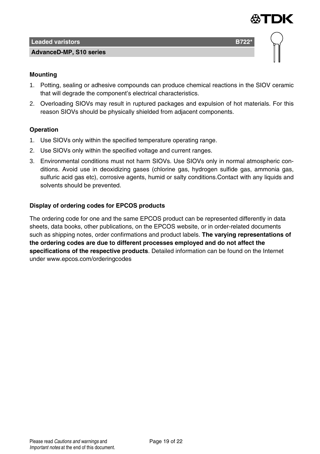

#### **AdvanceD-MP, S10 series**



#### **Mounting**

- 1. Potting, sealing or adhesive compounds can produce chemical reactions in the SIOV ceramic that will degrade the component's electrical characteristics.
- 2. Overloading SIOVs may result in ruptured packages and expulsion of hot materials. For this reason SIOVs should be physically shielded from adjacent components.

#### **Operation**

- 1. Use SIOVs only within the specified temperature operating range.
- 2. Use SIOVs only within the specified voltage and current ranges.
- 3. Environmental conditions must not harm SIOVs. Use SIOVs only in normal atmospheric conditions. Avoid use in deoxidizing gases (chlorine gas, hydrogen sulfide gas, ammonia gas, sulfuric acid gas etc), corrosive agents, humid or salty conditions.Contact with any liquids and solvents should be prevented.

#### **Display of ordering codes for EPCOS products**

The ordering code for one and the same EPCOS product can be represented differently in data sheets, data books, other publications, on the EPCOS website, or in order-related documents such as shipping notes, order confirmations and product labels. **The varying representations of the ordering codes are due to different processes employed and do not affect the specifications of the respective products**. Detailed information can be found on the Internet under www.epcos.com/orderingcodes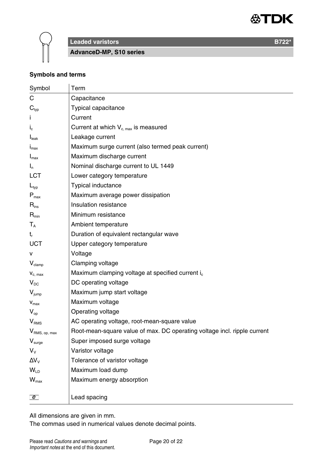



**Leaded varistors B722<sup>\*</sup> B722<sup>\*</sup>** 

**AdvanceD-MP, S10 series**

#### **Symbols and terms**

| Symbol                      | Term                                                                     |
|-----------------------------|--------------------------------------------------------------------------|
| C                           | Capacitance                                                              |
| $\mathbf{C}_{\text{typ}}$   | Typical capacitance                                                      |
|                             | Current                                                                  |
| $I_{c}$                     | Current at which $V_{c,max}$ is measured                                 |
| I <sub>leak</sub>           | Leakage current                                                          |
| $I_{\text{max}}$            | Maximum surge current (also termed peak current)                         |
| $I_{\text{max}}$            | Maximum discharge current                                                |
| $I_n$                       | Nominal discharge current to UL 1449                                     |
| LCT                         | Lower category temperature                                               |
| $L_{typ}$                   | Typical inductance                                                       |
| $\mathsf{P}_{\mathsf{max}}$ | Maximum average power dissipation                                        |
| $\mathsf{R}_{\mathsf{ins}}$ | Insulation resistance                                                    |
| $R_{\text{min}}$            | Minimum resistance                                                       |
| $T_{A}$                     | Ambient temperature                                                      |
| t,                          | Duration of equivalent rectangular wave                                  |
| UCT                         | Upper category temperature                                               |
| v                           | Voltage                                                                  |
| $V_{\text{clamp}}$          | Clamping voltage                                                         |
| $V_{c, max}$                | Maximum clamping voltage at specified current i <sub>c</sub>             |
| $V_{DC}$                    | DC operating voltage                                                     |
| $V_{\text{jump}}$           | Maximum jump start voltage                                               |
| $\mathbf{V}_{\text{max}}$   | Maximum voltage                                                          |
| $V_{\rm on}$                | Operating voltage                                                        |
| V <sub>RMS</sub>            | AC operating voltage, root-mean-square value                             |
| V <sub>RMS, op, max</sub>   | Root-mean-square value of max. DC operating voltage incl. ripple current |
| $V_{\text{surge}}$          | Super imposed surge voltage                                              |
| $V_{V}$                     | Varistor voltage                                                         |
| $\Delta V_{V}$              | Tolerance of varistor voltage                                            |
| $W_{\text{ID}}$             | Maximum load dump                                                        |
| $W_{\text{max}}$            | Maximum energy absorption                                                |
|                             |                                                                          |
| $\boxed{e}$                 | Lead spacing                                                             |

All dimensions are given in mm.

The commas used in numerical values denote decimal points.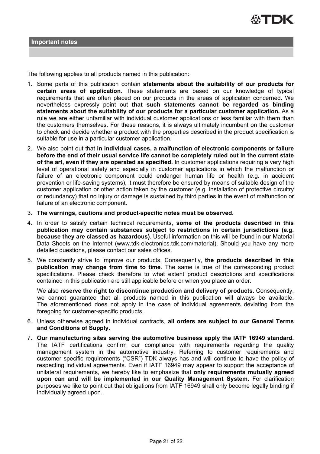

The following applies to all products named in this publication:

- 1. Some parts of this publication contain **statements about the suitability of our products for certain areas of application**. These statements are based on our knowledge of typical requirements that are often placed on our products in the areas of application concerned. We nevertheless expressly point out **that such statements cannot be regarded as binding statements about the suitability of our products for a particular customer application.** As a rule we are either unfamiliar with individual customer applications or less familiar with them than the customers themselves. For these reasons, it is always ultimately incumbent on the customer to check and decide whether a product with the properties described in the product specification is suitable for use in a particular customer application.
- 2. We also point out that **in individual cases, a malfunction of electronic components or failure before the end of their usual service life cannot be completely ruled out in the current state of the art, even if they are operated as specified.** In customer applications requiring a very high level of operational safety and especially in customer applications in which the malfunction or failure of an electronic component could endanger human life or health (e.g. in accident prevention or life-saving systems), it must therefore be ensured by means of suitable design of the customer application or other action taken by the customer (e.g. installation of protective circuitry or redundancy) that no injury or damage is sustained by third parties in the event of malfunction or failure of an electronic component.
- 3. **The warnings, cautions and product-specific notes must be observed.**
- 4. In order to satisfy certain technical requirements, **some of the products described in this publication may contain substances subject to restrictions in certain jurisdictions (e.g. because they are classed as hazardous)**. Useful information on this will be found in our Material Data Sheets on the Internet (www.tdk-electronics.tdk.com/material). Should you have any more detailed questions, please contact our sales offices.
- 5. We constantly strive to improve our products. Consequently, **the products described in this publication may change from time to time**. The same is true of the corresponding product specifications. Please check therefore to what extent product descriptions and specifications contained in this publication are still applicable before or when you place an order.

We also **reserve the right to discontinue production and delivery of products**. Consequently, we cannot guarantee that all products named in this publication will always be available. The aforementioned does not apply in the case of individual agreements deviating from the foregoing for customer-specific products.

- 6. Unless otherwise agreed in individual contracts, **all orders are subject to our General Terms and Conditions of Supply.**
- 7. **Our manufacturing sites serving the automotive business apply the IATF 16949 standard.** The IATF certifications confirm our compliance with requirements regarding the quality management system in the automotive industry. Referring to customer requirements and customer specific requirements ("CSR") TDK always has and will continue to have the policy of respecting individual agreements. Even if IATF 16949 may appear to support the acceptance of unilateral requirements, we hereby like to emphasize that **only requirements mutually agreed upon can and will be implemented in our Quality Management System.** For clarification purposes we like to point out that obligations from IATF 16949 shall only become legally binding if individually agreed upon.